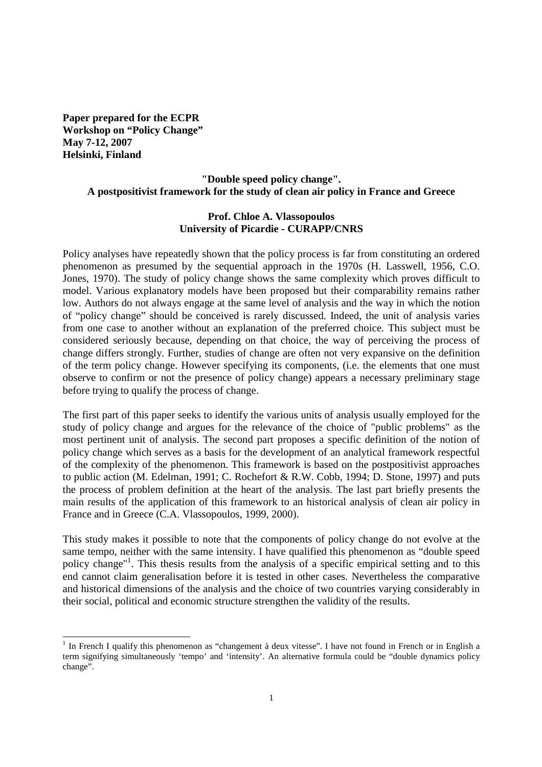**Paper prepared for the ECPR Workshop on "Policy Change" May 7-12, 2007 Helsinki, Finland** 

#### **"Double speed policy change". A postpositivist framework for the study of clean air policy in France and Greece**

#### **Prof. Chloe A. Vlassopoulos University of Picardie - CURAPP/CNRS**

Policy analyses have repeatedly shown that the policy process is far from constituting an ordered phenomenon as presumed by the sequential approach in the 1970s (H. Lasswell, 1956, C.O. Jones, 1970). The study of policy change shows the same complexity which proves difficult to model. Various explanatory models have been proposed but their comparability remains rather low. Authors do not always engage at the same level of analysis and the way in which the notion of "policy change" should be conceived is rarely discussed. Indeed, the unit of analysis varies from one case to another without an explanation of the preferred choice. This subject must be considered seriously because, depending on that choice, the way of perceiving the process of change differs strongly. Further, studies of change are often not very expansive on the definition of the term policy change. However specifying its components, (i.e. the elements that one must observe to confirm or not the presence of policy change) appears a necessary preliminary stage before trying to qualify the process of change.

The first part of this paper seeks to identify the various units of analysis usually employed for the study of policy change and argues for the relevance of the choice of "public problems" as the most pertinent unit of analysis. The second part proposes a specific definition of the notion of policy change which serves as a basis for the development of an analytical framework respectful of the complexity of the phenomenon. This framework is based on the postpositivist approaches to public action (M. Edelman, 1991; C. Rochefort & R.W. Cobb, 1994; D. Stone, 1997) and puts the process of problem definition at the heart of the analysis. The last part briefly presents the main results of the application of this framework to an historical analysis of clean air policy in France and in Greece (C.A. Vlassopoulos, 1999, 2000).

This study makes it possible to note that the components of policy change do not evolve at the same tempo, neither with the same intensity. I have qualified this phenomenon as "double speed policy change"<sup>1</sup>. This thesis results from the analysis of a specific empirical setting and to this end cannot claim generalisation before it is tested in other cases. Nevertheless the comparative and historical dimensions of the analysis and the choice of two countries varying considerably in their social, political and economic structure strengthen the validity of the results.

 $\overline{a}$ <sup>1</sup> In French I qualify this phenomenon as "changement à deux vitesse". I have not found in French or in English a term signifying simultaneously 'tempo' and 'intensity'. An alternative formula could be "double dynamics policy change".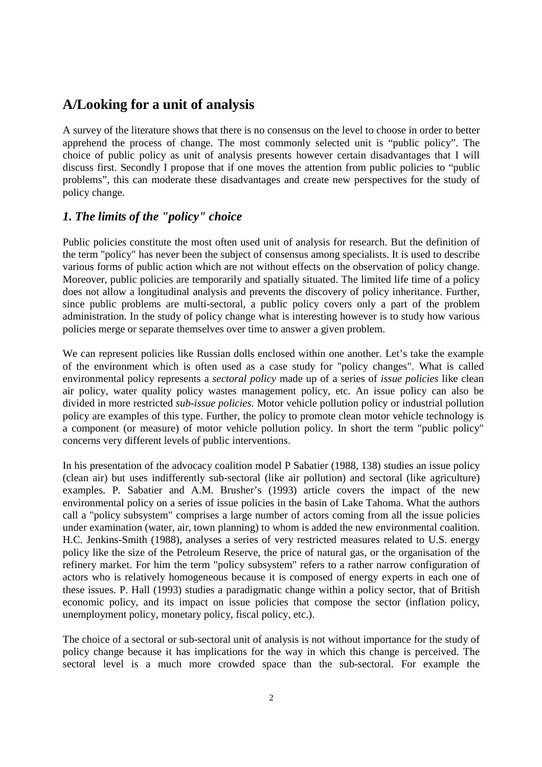# **A/Looking for a unit of analysis**

A survey of the literature shows that there is no consensus on the level to choose in order to better apprehend the process of change. The most commonly selected unit is "public policy". The choice of public policy as unit of analysis presents however certain disadvantages that I will discuss first. Secondly I propose that if one moves the attention from public policies to "public problems", this can moderate these disadvantages and create new perspectives for the study of policy change.

## *1. The limits of the "policy" choice*

Public policies constitute the most often used unit of analysis for research. But the definition of the term "policy" has never been the subject of consensus among specialists. It is used to describe various forms of public action which are not without effects on the observation of policy change. Moreover, public policies are temporarily and spatially situated. The limited life time of a policy does not allow a longitudinal analysis and prevents the discovery of policy inheritance. Further, since public problems are multi-sectoral, a public policy covers only a part of the problem administration*.* In the study of policy change what is interesting however is to study how various policies merge or separate themselves over time to answer a given problem.

We can represent policies like Russian dolls enclosed within one another. Let's take the example of the environment which is often used as a case study for "policy changes". What is called environmental policy represents a *sectoral policy* made up of a series of *issue policies* like clean air policy, water quality policy wastes management policy, etc. An issue policy can also be divided in more restricted *sub-issue policies*. Motor vehicle pollution policy or industrial pollution policy are examples of this type. Further, the policy to promote clean motor vehicle technology is a component (or measure) of motor vehicle pollution policy. In short the term "public policy" concerns very different levels of public interventions.

In his presentation of the advocacy coalition model P Sabatier (1988, 138) studies an issue policy (clean air) but uses indifferently sub-sectoral (like air pollution) and sectoral (like agriculture) examples. P. Sabatier and A.M. Brusher's (1993) article covers the impact of the new environmental policy on a series of issue policies in the basin of Lake Tahoma. What the authors call a "policy subsystem" comprises a large number of actors coming from all the issue policies under examination (water, air, town planning) to whom is added the new environmental coalition. H.C. Jenkins-Smith (1988), analyses a series of very restricted measures related to U.S. energy policy like the size of the Petroleum Reserve, the price of natural gas, or the organisation of the refinery market. For him the term "policy subsystem" refers to a rather narrow configuration of actors who is relatively homogeneous because it is composed of energy experts in each one of these issues. P. Hall (1993) studies a paradigmatic change within a policy sector, that of British economic policy, and its impact on issue policies that compose the sector (inflation policy, unemployment policy, monetary policy, fiscal policy, etc.).

The choice of a sectoral or sub-sectoral unit of analysis is not without importance for the study of policy change because it has implications for the way in which this change is perceived. The sectoral level is a much more crowded space than the sub-sectoral. For example the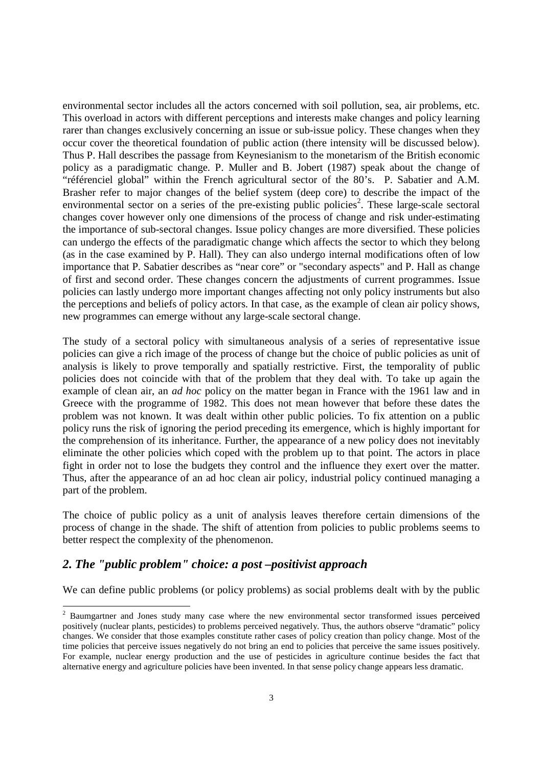environmental sector includes all the actors concerned with soil pollution, sea, air problems, etc. This overload in actors with different perceptions and interests make changes and policy learning rarer than changes exclusively concerning an issue or sub-issue policy. These changes when they occur cover the theoretical foundation of public action (there intensity will be discussed below). Thus P. Hall describes the passage from Keynesianism to the monetarism of the British economic policy as a paradigmatic change. P. Muller and B. Jobert (1987) speak about the change of "référenciel global" within the French agricultural sector of the 80's. P. Sabatier and A.M. Brasher refer to major changes of the belief system (deep core) to describe the impact of the environmental sector on a series of the pre-existing public policies<sup>2</sup>. These large-scale sectoral changes cover however only one dimensions of the process of change and risk under-estimating the importance of sub-sectoral changes. Issue policy changes are more diversified. These policies can undergo the effects of the paradigmatic change which affects the sector to which they belong (as in the case examined by P. Hall). They can also undergo internal modifications often of low importance that P. Sabatier describes as "near core" or "secondary aspects" and P. Hall as change of first and second order. These changes concern the adjustments of current programmes. Issue policies can lastly undergo more important changes affecting not only policy instruments but also the perceptions and beliefs of policy actors. In that case, as the example of clean air policy shows, new programmes can emerge without any large-scale sectoral change.

The study of a sectoral policy with simultaneous analysis of a series of representative issue policies can give a rich image of the process of change but the choice of public policies as unit of analysis is likely to prove temporally and spatially restrictive. First, the temporality of public policies does not coincide with that of the problem that they deal with. To take up again the example of clean air, an *ad hoc* policy on the matter began in France with the 1961 law and in Greece with the programme of 1982. This does not mean however that before these dates the problem was not known. It was dealt within other public policies. To fix attention on a public policy runs the risk of ignoring the period preceding its emergence, which is highly important for the comprehension of its inheritance. Further, the appearance of a new policy does not inevitably eliminate the other policies which coped with the problem up to that point. The actors in place fight in order not to lose the budgets they control and the influence they exert over the matter. Thus, after the appearance of an ad hoc clean air policy, industrial policy continued managing a part of the problem.

The choice of public policy as a unit of analysis leaves therefore certain dimensions of the process of change in the shade. The shift of attention from policies to public problems seems to better respect the complexity of the phenomenon.

### *2. The "public problem" choice: a post –positivist approach*

1

We can define public problems (or policy problems) as social problems dealt with by the public

 $2$  Baumgartner and Jones study many case where the new environmental sector transformed issues perceived positively (nuclear plants, pesticides) to problems perceived negatively. Thus, the authors observe "dramatic" policy changes. We consider that those examples constitute rather cases of policy creation than policy change. Most of the time policies that perceive issues negatively do not bring an end to policies that perceive the same issues positively. For example, nuclear energy production and the use of pesticides in agriculture continue besides the fact that alternative energy and agriculture policies have been invented. In that sense policy change appears less dramatic.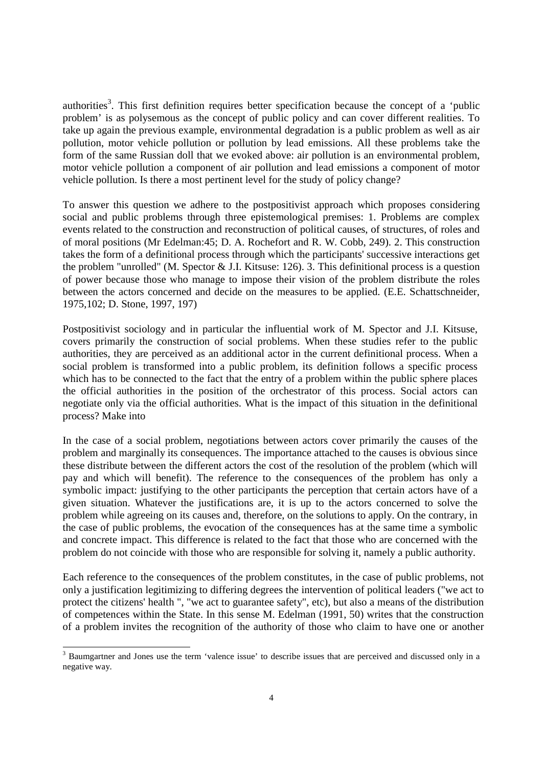authorities<sup>3</sup>. This first definition requires better specification because the concept of a 'public problem' is as polysemous as the concept of public policy and can cover different realities. To take up again the previous example, environmental degradation is a public problem as well as air pollution, motor vehicle pollution or pollution by lead emissions. All these problems take the form of the same Russian doll that we evoked above: air pollution is an environmental problem, motor vehicle pollution a component of air pollution and lead emissions a component of motor vehicle pollution. Is there a most pertinent level for the study of policy change?

To answer this question we adhere to the postpositivist approach which proposes considering social and public problems through three epistemological premises: 1. Problems are complex events related to the construction and reconstruction of political causes, of structures, of roles and of moral positions (Mr Edelman:45; D. A. Rochefort and R. W. Cobb, 249). 2. This construction takes the form of a definitional process through which the participants' successive interactions get the problem "unrolled" (M. Spector & J.I. Kitsuse: 126). 3. This definitional process is a question of power because those who manage to impose their vision of the problem distribute the roles between the actors concerned and decide on the measures to be applied. (E.E. Schattschneider, 1975,102; D. Stone, 1997, 197)

Postpositivist sociology and in particular the influential work of M. Spector and J.I. Kitsuse, covers primarily the construction of social problems. When these studies refer to the public authorities, they are perceived as an additional actor in the current definitional process. When a social problem is transformed into a public problem, its definition follows a specific process which has to be connected to the fact that the entry of a problem within the public sphere places the official authorities in the position of the orchestrator of this process. Social actors can negotiate only via the official authorities. What is the impact of this situation in the definitional process? Make into

In the case of a social problem, negotiations between actors cover primarily the causes of the problem and marginally its consequences. The importance attached to the causes is obvious since these distribute between the different actors the cost of the resolution of the problem (which will pay and which will benefit). The reference to the consequences of the problem has only a symbolic impact: justifying to the other participants the perception that certain actors have of a given situation. Whatever the justifications are, it is up to the actors concerned to solve the problem while agreeing on its causes and, therefore, on the solutions to apply. On the contrary, in the case of public problems, the evocation of the consequences has at the same time a symbolic and concrete impact. This difference is related to the fact that those who are concerned with the problem do not coincide with those who are responsible for solving it, namely a public authority.

Each reference to the consequences of the problem constitutes, in the case of public problems, not only a justification legitimizing to differing degrees the intervention of political leaders ("we act to protect the citizens' health ", "we act to guarantee safety", etc), but also a means of the distribution of competences within the State. In this sense M. Edelman (1991, 50) writes that the construction of a problem invites the recognition of the authority of those who claim to have one or another

-

<sup>&</sup>lt;sup>3</sup> Baumgartner and Jones use the term 'valence issue' to describe issues that are perceived and discussed only in a negative way.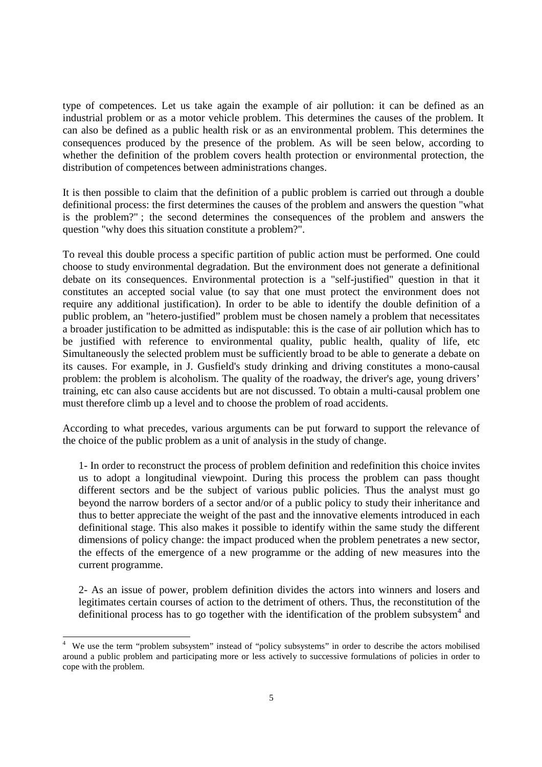type of competences. Let us take again the example of air pollution: it can be defined as an industrial problem or as a motor vehicle problem. This determines the causes of the problem. It can also be defined as a public health risk or as an environmental problem. This determines the consequences produced by the presence of the problem. As will be seen below, according to whether the definition of the problem covers health protection or environmental protection, the distribution of competences between administrations changes.

It is then possible to claim that the definition of a public problem is carried out through a double definitional process: the first determines the causes of the problem and answers the question "what is the problem?" ; the second determines the consequences of the problem and answers the question "why does this situation constitute a problem?".

To reveal this double process a specific partition of public action must be performed. One could choose to study environmental degradation. But the environment does not generate a definitional debate on its consequences. Environmental protection is a "self-justified" question in that it constitutes an accepted social value (to say that one must protect the environment does not require any additional justification). In order to be able to identify the double definition of a public problem, an "hetero-justified" problem must be chosen namely a problem that necessitates a broader justification to be admitted as indisputable: this is the case of air pollution which has to be justified with reference to environmental quality, public health, quality of life, etc Simultaneously the selected problem must be sufficiently broad to be able to generate a debate on its causes. For example, in J. Gusfield's study drinking and driving constitutes a mono-causal problem: the problem is alcoholism. The quality of the roadway, the driver's age, young drivers' training, etc can also cause accidents but are not discussed. To obtain a multi-causal problem one must therefore climb up a level and to choose the problem of road accidents.

According to what precedes, various arguments can be put forward to support the relevance of the choice of the public problem as a unit of analysis in the study of change.

1- In order to reconstruct the process of problem definition and redefinition this choice invites us to adopt a longitudinal viewpoint. During this process the problem can pass thought different sectors and be the subject of various public policies. Thus the analyst must go beyond the narrow borders of a sector and/or of a public policy to study their inheritance and thus to better appreciate the weight of the past and the innovative elements introduced in each definitional stage. This also makes it possible to identify within the same study the different dimensions of policy change: the impact produced when the problem penetrates a new sector, the effects of the emergence of a new programme or the adding of new measures into the current programme.

2- As an issue of power, problem definition divides the actors into winners and losers and legitimates certain courses of action to the detriment of others. Thus, the reconstitution of the definitional process has to go together with the identification of the problem subsystem<sup>4</sup> and

 $\overline{a}$ 

<sup>4</sup> We use the term "problem subsystem" instead of "policy subsystems" in order to describe the actors mobilised around a public problem and participating more or less actively to successive formulations of policies in order to cope with the problem.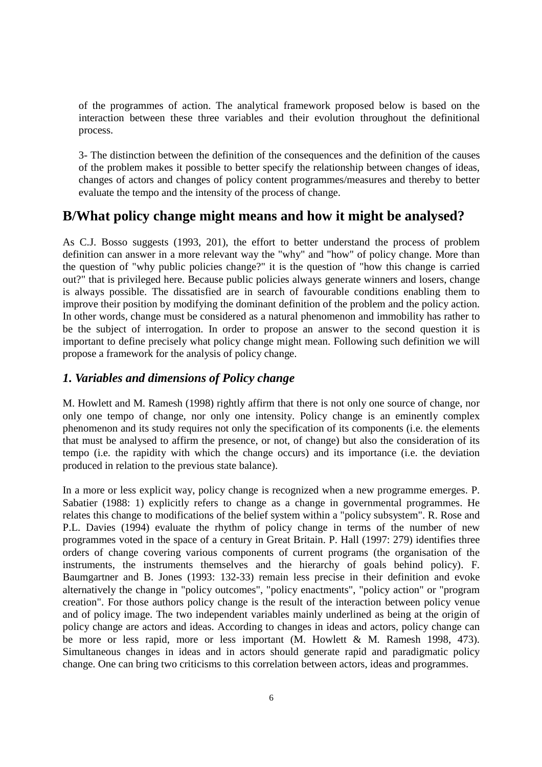of the programmes of action. The analytical framework proposed below is based on the interaction between these three variables and their evolution throughout the definitional process.

3- The distinction between the definition of the consequences and the definition of the causes of the problem makes it possible to better specify the relationship between changes of ideas, changes of actors and changes of policy content programmes/measures and thereby to better evaluate the tempo and the intensity of the process of change.

# **B/What policy change might means and how it might be analysed?**

As C.J. Bosso suggests (1993, 201), the effort to better understand the process of problem definition can answer in a more relevant way the "why" and "how" of policy change. More than the question of "why public policies change?" it is the question of "how this change is carried out?" that is privileged here. Because public policies always generate winners and losers, change is always possible. The dissatisfied are in search of favourable conditions enabling them to improve their position by modifying the dominant definition of the problem and the policy action. In other words, change must be considered as a natural phenomenon and immobility has rather to be the subject of interrogation. In order to propose an answer to the second question it is important to define precisely what policy change might mean. Following such definition we will propose a framework for the analysis of policy change.

## *1. Variables and dimensions of Policy change*

M. Howlett and M. Ramesh (1998) rightly affirm that there is not only one source of change, nor only one tempo of change, nor only one intensity. Policy change is an eminently complex phenomenon and its study requires not only the specification of its components (i.e. the elements that must be analysed to affirm the presence, or not, of change) but also the consideration of its tempo (i.e. the rapidity with which the change occurs) and its importance (i.e. the deviation produced in relation to the previous state balance).

In a more or less explicit way, policy change is recognized when a new programme emerges. P. Sabatier (1988: 1) explicitly refers to change as a change in governmental programmes. He relates this change to modifications of the belief system within a "policy subsystem". R. Rose and P.L. Davies (1994) evaluate the rhythm of policy change in terms of the number of new programmes voted in the space of a century in Great Britain. P. Hall (1997: 279) identifies three orders of change covering various components of current programs (the organisation of the instruments, the instruments themselves and the hierarchy of goals behind policy). F. Baumgartner and B. Jones (1993: 132-33) remain less precise in their definition and evoke alternatively the change in "policy outcomes", "policy enactments", "policy action" or "program creation". For those authors policy change is the result of the interaction between policy venue and of policy image. The two independent variables mainly underlined as being at the origin of policy change are actors and ideas. According to changes in ideas and actors, policy change can be more or less rapid, more or less important (M. Howlett & M. Ramesh 1998, 473). Simultaneous changes in ideas and in actors should generate rapid and paradigmatic policy change. One can bring two criticisms to this correlation between actors, ideas and programmes.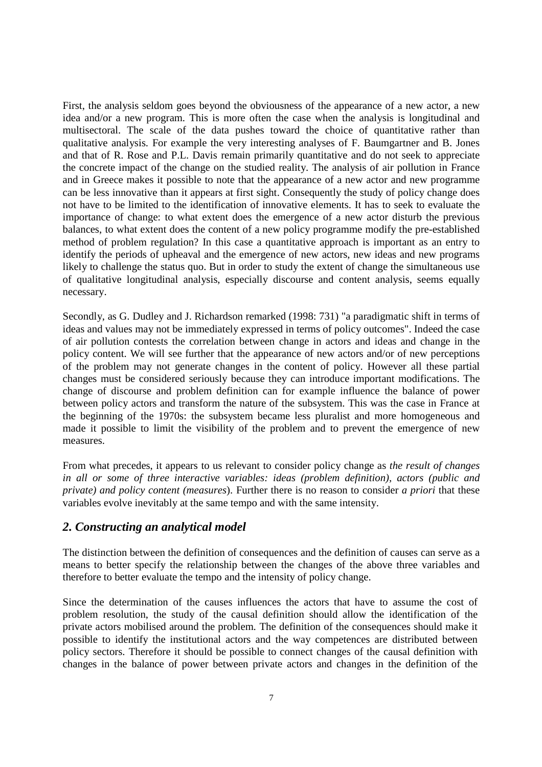First, the analysis seldom goes beyond the obviousness of the appearance of a new actor, a new idea and/or a new program. This is more often the case when the analysis is longitudinal and multisectoral. The scale of the data pushes toward the choice of quantitative rather than qualitative analysis. For example the very interesting analyses of F. Baumgartner and B. Jones and that of R. Rose and P.L. Davis remain primarily quantitative and do not seek to appreciate the concrete impact of the change on the studied reality. The analysis of air pollution in France and in Greece makes it possible to note that the appearance of a new actor and new programme can be less innovative than it appears at first sight. Consequently the study of policy change does not have to be limited to the identification of innovative elements. It has to seek to evaluate the importance of change: to what extent does the emergence of a new actor disturb the previous balances, to what extent does the content of a new policy programme modify the pre-established method of problem regulation? In this case a quantitative approach is important as an entry to identify the periods of upheaval and the emergence of new actors, new ideas and new programs likely to challenge the status quo. But in order to study the extent of change the simultaneous use of qualitative longitudinal analysis, especially discourse and content analysis, seems equally necessary.

Secondly, as G. Dudley and J. Richardson remarked (1998: 731) "a paradigmatic shift in terms of ideas and values may not be immediately expressed in terms of policy outcomes". Indeed the case of air pollution contests the correlation between change in actors and ideas and change in the policy content. We will see further that the appearance of new actors and/or of new perceptions of the problem may not generate changes in the content of policy. However all these partial changes must be considered seriously because they can introduce important modifications. The change of discourse and problem definition can for example influence the balance of power between policy actors and transform the nature of the subsystem. This was the case in France at the beginning of the 1970s: the subsystem became less pluralist and more homogeneous and made it possible to limit the visibility of the problem and to prevent the emergence of new measures.

From what precedes, it appears to us relevant to consider policy change as *the result of changes in all or some of three interactive variables: ideas (problem definition), actors (public and private) and policy content (measures*). Further there is no reason to consider *a priori* that these variables evolve inevitably at the same tempo and with the same intensity.

### *2. Constructing an analytical model*

The distinction between the definition of consequences and the definition of causes can serve as a means to better specify the relationship between the changes of the above three variables and therefore to better evaluate the tempo and the intensity of policy change.

Since the determination of the causes influences the actors that have to assume the cost of problem resolution, the study of the causal definition should allow the identification of the private actors mobilised around the problem. The definition of the consequences should make it possible to identify the institutional actors and the way competences are distributed between policy sectors. Therefore it should be possible to connect changes of the causal definition with changes in the balance of power between private actors and changes in the definition of the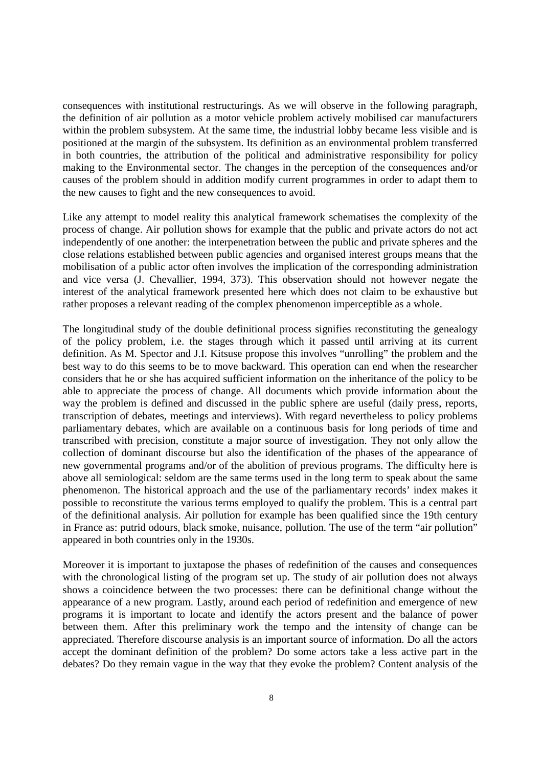consequences with institutional restructurings. As we will observe in the following paragraph, the definition of air pollution as a motor vehicle problem actively mobilised car manufacturers within the problem subsystem. At the same time, the industrial lobby became less visible and is positioned at the margin of the subsystem. Its definition as an environmental problem transferred in both countries, the attribution of the political and administrative responsibility for policy making to the Environmental sector. The changes in the perception of the consequences and/or causes of the problem should in addition modify current programmes in order to adapt them to the new causes to fight and the new consequences to avoid.

Like any attempt to model reality this analytical framework schematises the complexity of the process of change. Air pollution shows for example that the public and private actors do not act independently of one another: the interpenetration between the public and private spheres and the close relations established between public agencies and organised interest groups means that the mobilisation of a public actor often involves the implication of the corresponding administration and vice versa (J. Chevallier, 1994, 373). This observation should not however negate the interest of the analytical framework presented here which does not claim to be exhaustive but rather proposes a relevant reading of the complex phenomenon imperceptible as a whole.

The longitudinal study of the double definitional process signifies reconstituting the genealogy of the policy problem, i.e. the stages through which it passed until arriving at its current definition. As M. Spector and J.I. Kitsuse propose this involves "unrolling" the problem and the best way to do this seems to be to move backward. This operation can end when the researcher considers that he or she has acquired sufficient information on the inheritance of the policy to be able to appreciate the process of change. All documents which provide information about the way the problem is defined and discussed in the public sphere are useful (daily press, reports, transcription of debates, meetings and interviews). With regard nevertheless to policy problems parliamentary debates, which are available on a continuous basis for long periods of time and transcribed with precision, constitute a major source of investigation. They not only allow the collection of dominant discourse but also the identification of the phases of the appearance of new governmental programs and/or of the abolition of previous programs. The difficulty here is above all semiological: seldom are the same terms used in the long term to speak about the same phenomenon. The historical approach and the use of the parliamentary records' index makes it possible to reconstitute the various terms employed to qualify the problem. This is a central part of the definitional analysis. Air pollution for example has been qualified since the 19th century in France as: putrid odours, black smoke, nuisance, pollution. The use of the term "air pollution" appeared in both countries only in the 1930s.

Moreover it is important to juxtapose the phases of redefinition of the causes and consequences with the chronological listing of the program set up. The study of air pollution does not always shows a coincidence between the two processes: there can be definitional change without the appearance of a new program. Lastly, around each period of redefinition and emergence of new programs it is important to locate and identify the actors present and the balance of power between them. After this preliminary work the tempo and the intensity of change can be appreciated. Therefore discourse analysis is an important source of information. Do all the actors accept the dominant definition of the problem? Do some actors take a less active part in the debates? Do they remain vague in the way that they evoke the problem? Content analysis of the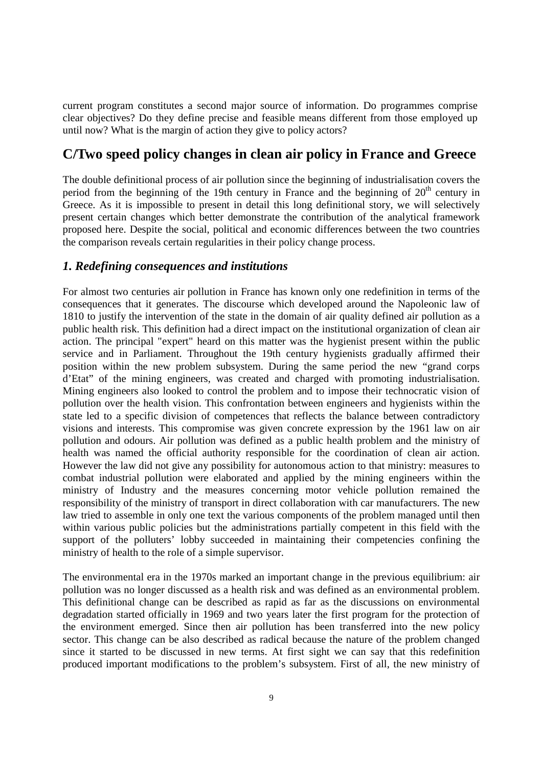current program constitutes a second major source of information. Do programmes comprise clear objectives? Do they define precise and feasible means different from those employed up until now? What is the margin of action they give to policy actors?

# **C/Two speed policy changes in clean air policy in France and Greece**

The double definitional process of air pollution since the beginning of industrialisation covers the period from the beginning of the 19th century in France and the beginning of  $20<sup>th</sup>$  century in Greece. As it is impossible to present in detail this long definitional story, we will selectively present certain changes which better demonstrate the contribution of the analytical framework proposed here. Despite the social, political and economic differences between the two countries the comparison reveals certain regularities in their policy change process.

### *1. Redefining consequences and institutions*

For almost two centuries air pollution in France has known only one redefinition in terms of the consequences that it generates. The discourse which developed around the Napoleonic law of 1810 to justify the intervention of the state in the domain of air quality defined air pollution as a public health risk. This definition had a direct impact on the institutional organization of clean air action. The principal "expert" heard on this matter was the hygienist present within the public service and in Parliament. Throughout the 19th century hygienists gradually affirmed their position within the new problem subsystem. During the same period the new "grand corps d'Etat" of the mining engineers, was created and charged with promoting industrialisation. Mining engineers also looked to control the problem and to impose their technocratic vision of pollution over the health vision. This confrontation between engineers and hygienists within the state led to a specific division of competences that reflects the balance between contradictory visions and interests. This compromise was given concrete expression by the 1961 law on air pollution and odours. Air pollution was defined as a public health problem and the ministry of health was named the official authority responsible for the coordination of clean air action. However the law did not give any possibility for autonomous action to that ministry: measures to combat industrial pollution were elaborated and applied by the mining engineers within the ministry of Industry and the measures concerning motor vehicle pollution remained the responsibility of the ministry of transport in direct collaboration with car manufacturers. The new law tried to assemble in only one text the various components of the problem managed until then within various public policies but the administrations partially competent in this field with the support of the polluters' lobby succeeded in maintaining their competencies confining the ministry of health to the role of a simple supervisor.

The environmental era in the 1970s marked an important change in the previous equilibrium: air pollution was no longer discussed as a health risk and was defined as an environmental problem. This definitional change can be described as rapid as far as the discussions on environmental degradation started officially in 1969 and two years later the first program for the protection of the environment emerged. Since then air pollution has been transferred into the new policy sector. This change can be also described as radical because the nature of the problem changed since it started to be discussed in new terms. At first sight we can say that this redefinition produced important modifications to the problem's subsystem. First of all, the new ministry of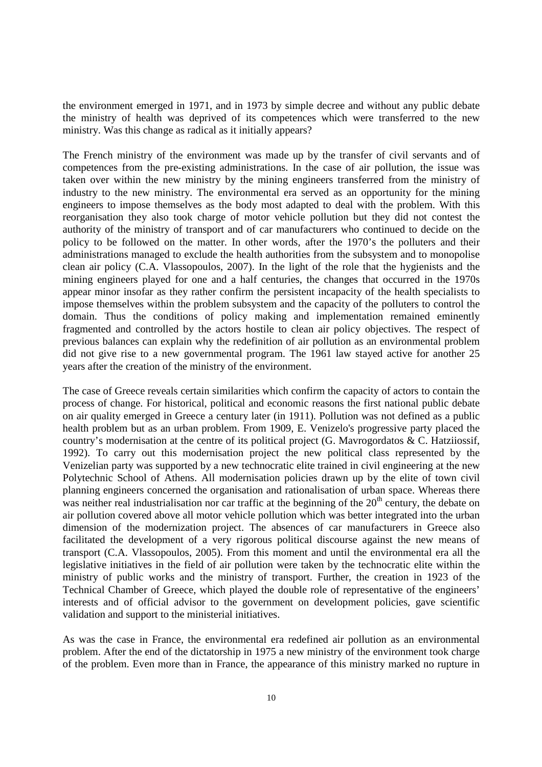the environment emerged in 1971, and in 1973 by simple decree and without any public debate the ministry of health was deprived of its competences which were transferred to the new ministry. Was this change as radical as it initially appears?

The French ministry of the environment was made up by the transfer of civil servants and of competences from the pre-existing administrations. In the case of air pollution, the issue was taken over within the new ministry by the mining engineers transferred from the ministry of industry to the new ministry. The environmental era served as an opportunity for the mining engineers to impose themselves as the body most adapted to deal with the problem. With this reorganisation they also took charge of motor vehicle pollution but they did not contest the authority of the ministry of transport and of car manufacturers who continued to decide on the policy to be followed on the matter. In other words, after the 1970's the polluters and their administrations managed to exclude the health authorities from the subsystem and to monopolise clean air policy (C.A. Vlassopoulos, 2007). In the light of the role that the hygienists and the mining engineers played for one and a half centuries, the changes that occurred in the 1970s appear minor insofar as they rather confirm the persistent incapacity of the health specialists to impose themselves within the problem subsystem and the capacity of the polluters to control the domain. Thus the conditions of policy making and implementation remained eminently fragmented and controlled by the actors hostile to clean air policy objectives. The respect of previous balances can explain why the redefinition of air pollution as an environmental problem did not give rise to a new governmental program. The 1961 law stayed active for another 25 years after the creation of the ministry of the environment.

The case of Greece reveals certain similarities which confirm the capacity of actors to contain the process of change. For historical, political and economic reasons the first national public debate on air quality emerged in Greece a century later (in 1911). Pollution was not defined as a public health problem but as an urban problem. From 1909, E. Venizelo's progressive party placed the country's modernisation at the centre of its political project (G. Mavrogordatos & C. Hatziiossif, 1992). To carry out this modernisation project the new political class represented by the Venizelian party was supported by a new technocratic elite trained in civil engineering at the new Polytechnic School of Athens. All modernisation policies drawn up by the elite of town civil planning engineers concerned the organisation and rationalisation of urban space. Whereas there was neither real industrialisation nor car traffic at the beginning of the  $20<sup>th</sup>$  century, the debate on air pollution covered above all motor vehicle pollution which was better integrated into the urban dimension of the modernization project. The absences of car manufacturers in Greece also facilitated the development of a very rigorous political discourse against the new means of transport (C.A. Vlassopoulos, 2005). From this moment and until the environmental era all the legislative initiatives in the field of air pollution were taken by the technocratic elite within the ministry of public works and the ministry of transport. Further, the creation in 1923 of the Technical Chamber of Greece, which played the double role of representative of the engineers' interests and of official advisor to the government on development policies, gave scientific validation and support to the ministerial initiatives.

As was the case in France, the environmental era redefined air pollution as an environmental problem. After the end of the dictatorship in 1975 a new ministry of the environment took charge of the problem. Even more than in France, the appearance of this ministry marked no rupture in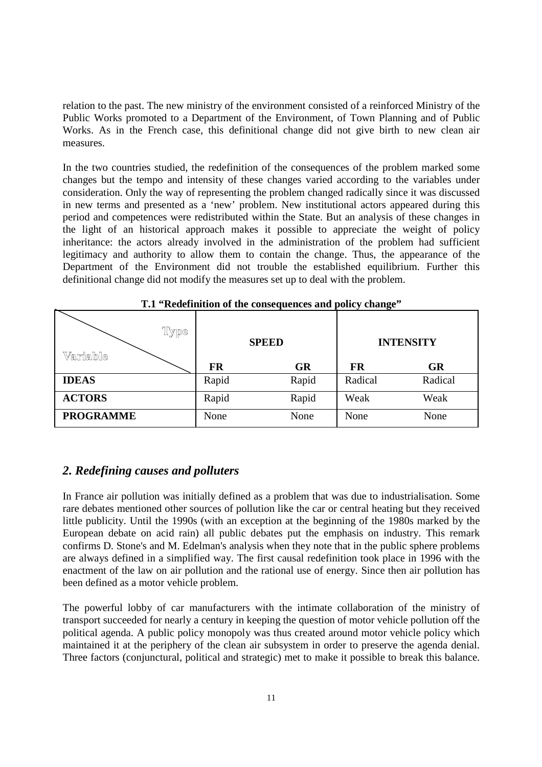relation to the past. The new ministry of the environment consisted of a reinforced Ministry of the Public Works promoted to a Department of the Environment, of Town Planning and of Public Works. As in the French case, this definitional change did not give birth to new clean air measures.

In the two countries studied, the redefinition of the consequences of the problem marked some changes but the tempo and intensity of these changes varied according to the variables under consideration. Only the way of representing the problem changed radically since it was discussed in new terms and presented as a 'new' problem. New institutional actors appeared during this period and competences were redistributed within the State. But an analysis of these changes in the light of an historical approach makes it possible to appreciate the weight of policy inheritance: the actors already involved in the administration of the problem had sufficient legitimacy and authority to allow them to contain the change. Thus, the appearance of the Department of the Environment did not trouble the established equilibrium. Further this definitional change did not modify the measures set up to deal with the problem.

| 1.1 Regerment of the consequences and poncy change |              |           |                  |           |  |  |  |  |
|----------------------------------------------------|--------------|-----------|------------------|-----------|--|--|--|--|
| Type<br>Variable                                   | <b>SPEED</b> |           | <b>INTENSITY</b> |           |  |  |  |  |
|                                                    | FR           | <b>GR</b> | <b>FR</b>        | <b>GR</b> |  |  |  |  |
| <b>IDEAS</b>                                       | Rapid        | Rapid     | Radical          | Radical   |  |  |  |  |
| <b>ACTORS</b>                                      | Rapid        | Rapid     | Weak             | Weak      |  |  |  |  |
| <b>PROGRAMME</b>                                   | None         | None      | None             | None      |  |  |  |  |

|  | T.1 "Redefinition of the consequences and policy change" |  |  |  |  |  |
|--|----------------------------------------------------------|--|--|--|--|--|
|--|----------------------------------------------------------|--|--|--|--|--|

#### *2. Redefining causes and polluters*

In France air pollution was initially defined as a problem that was due to industrialisation. Some rare debates mentioned other sources of pollution like the car or central heating but they received little publicity. Until the 1990s (with an exception at the beginning of the 1980s marked by the European debate on acid rain) all public debates put the emphasis on industry. This remark confirms D. Stone's and M. Edelman's analysis when they note that in the public sphere problems are always defined in a simplified way. The first causal redefinition took place in 1996 with the enactment of the law on air pollution and the rational use of energy. Since then air pollution has been defined as a motor vehicle problem.

The powerful lobby of car manufacturers with the intimate collaboration of the ministry of transport succeeded for nearly a century in keeping the question of motor vehicle pollution off the political agenda. A public policy monopoly was thus created around motor vehicle policy which maintained it at the periphery of the clean air subsystem in order to preserve the agenda denial. Three factors (conjunctural, political and strategic) met to make it possible to break this balance.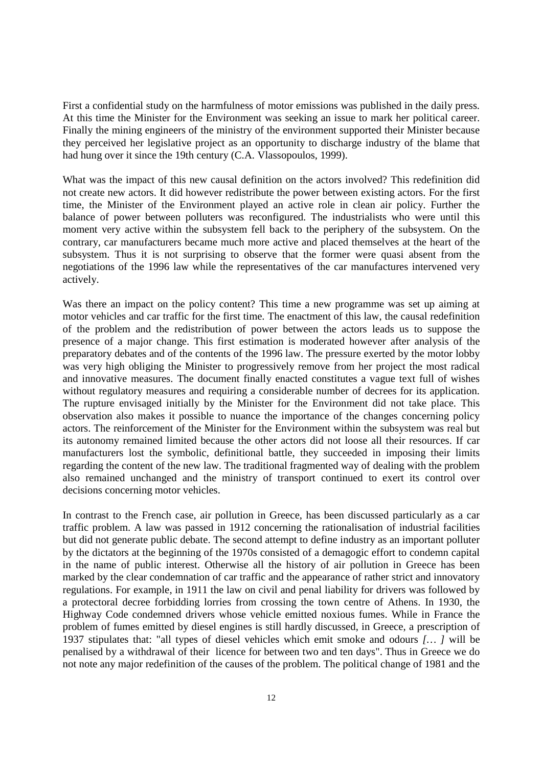First a confidential study on the harmfulness of motor emissions was published in the daily press. At this time the Minister for the Environment was seeking an issue to mark her political career. Finally the mining engineers of the ministry of the environment supported their Minister because they perceived her legislative project as an opportunity to discharge industry of the blame that had hung over it since the 19th century (C.A. Vlassopoulos, 1999).

What was the impact of this new causal definition on the actors involved? This redefinition did not create new actors. It did however redistribute the power between existing actors. For the first time, the Minister of the Environment played an active role in clean air policy. Further the balance of power between polluters was reconfigured. The industrialists who were until this moment very active within the subsystem fell back to the periphery of the subsystem. On the contrary, car manufacturers became much more active and placed themselves at the heart of the subsystem. Thus it is not surprising to observe that the former were quasi absent from the negotiations of the 1996 law while the representatives of the car manufactures intervened very actively.

Was there an impact on the policy content? This time a new programme was set up aiming at motor vehicles and car traffic for the first time. The enactment of this law, the causal redefinition of the problem and the redistribution of power between the actors leads us to suppose the presence of a major change. This first estimation is moderated however after analysis of the preparatory debates and of the contents of the 1996 law. The pressure exerted by the motor lobby was very high obliging the Minister to progressively remove from her project the most radical and innovative measures. The document finally enacted constitutes a vague text full of wishes without regulatory measures and requiring a considerable number of decrees for its application. The rupture envisaged initially by the Minister for the Environment did not take place. This observation also makes it possible to nuance the importance of the changes concerning policy actors. The reinforcement of the Minister for the Environment within the subsystem was real but its autonomy remained limited because the other actors did not loose all their resources. If car manufacturers lost the symbolic, definitional battle, they succeeded in imposing their limits regarding the content of the new law. The traditional fragmented way of dealing with the problem also remained unchanged and the ministry of transport continued to exert its control over decisions concerning motor vehicles.

In contrast to the French case, air pollution in Greece, has been discussed particularly as a car traffic problem. A law was passed in 1912 concerning the rationalisation of industrial facilities but did not generate public debate. The second attempt to define industry as an important polluter by the dictators at the beginning of the 1970s consisted of a demagogic effort to condemn capital in the name of public interest. Otherwise all the history of air pollution in Greece has been marked by the clear condemnation of car traffic and the appearance of rather strict and innovatory regulations. For example, in 1911 the law on civil and penal liability for drivers was followed by a protectoral decree forbidding lorries from crossing the town centre of Athens. In 1930, the Highway Code condemned drivers whose vehicle emitted noxious fumes. While in France the problem of fumes emitted by diesel engines is still hardly discussed, in Greece, a prescription of 1937 stipulates that: "all types of diesel vehicles which emit smoke and odours *[… ]* will be penalised by a withdrawal of their licence for between two and ten days". Thus in Greece we do not note any major redefinition of the causes of the problem. The political change of 1981 and the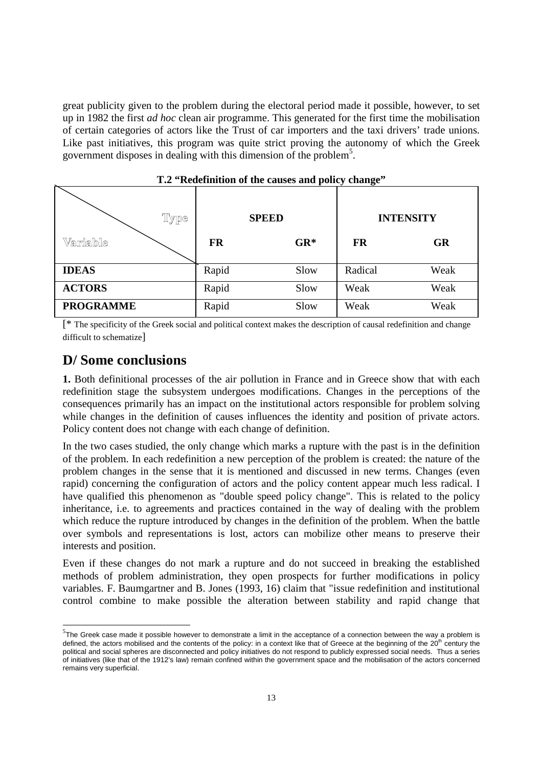great publicity given to the problem during the electoral period made it possible, however, to set up in 1982 the first *ad hoc* clean air programme. This generated for the first time the mobilisation of certain categories of actors like the Trust of car importers and the taxi drivers' trade unions. Like past initiatives, this program was quite strict proving the autonomy of which the Greek government disposes in dealing with this dimension of the problem<sup>5</sup> .

| r --- <i>-</i> , ---<br>— <del>.</del> |           |              |                  |           |  |  |  |
|----------------------------------------|-----------|--------------|------------------|-----------|--|--|--|
| Type                                   |           | <b>SPEED</b> | <b>INTENSITY</b> |           |  |  |  |
| Variable                               | <b>FR</b> | $GR*$        | <b>FR</b>        | <b>GR</b> |  |  |  |
| <b>IDEAS</b>                           | Rapid     | Slow         | Radical          | Weak      |  |  |  |
| <b>ACTORS</b>                          | Rapid     | Slow         | Weak             | Weak      |  |  |  |
| <b>PROGRAMME</b>                       | Rapid     | Slow         | Weak             | Weak      |  |  |  |

**T.2 "Redefinition of the causes and policy change"** 

[\* The specificity of the Greek social and political context makes the description of causal redefinition and change difficult to schematize]

## **D/ Some conclusions**

1

**1.** Both definitional processes of the air pollution in France and in Greece show that with each redefinition stage the subsystem undergoes modifications. Changes in the perceptions of the consequences primarily has an impact on the institutional actors responsible for problem solving while changes in the definition of causes influences the identity and position of private actors. Policy content does not change with each change of definition.

In the two cases studied, the only change which marks a rupture with the past is in the definition of the problem. In each redefinition a new perception of the problem is created: the nature of the problem changes in the sense that it is mentioned and discussed in new terms. Changes (even rapid) concerning the configuration of actors and the policy content appear much less radical. I have qualified this phenomenon as "double speed policy change". This is related to the policy inheritance, i.e. to agreements and practices contained in the way of dealing with the problem which reduce the rupture introduced by changes in the definition of the problem. When the battle over symbols and representations is lost, actors can mobilize other means to preserve their interests and position.

Even if these changes do not mark a rupture and do not succeed in breaking the established methods of problem administration, they open prospects for further modifications in policy variables. F. Baumgartner and B. Jones (1993, 16) claim that "issue redefinition and institutional control combine to make possible the alteration between stability and rapid change that

 $5$ The Greek case made it possible however to demonstrate a limit in the acceptance of a connection between the way a problem is defined, the actors mobilised and the contents of the policy: in a context like that of Greece at the beginning of the 20<sup>th</sup> century the political and social spheres are disconnected and policy initiatives do not respond to publicly expressed social needs. Thus a series of initiatives (like that of the 1912's law) remain confined within the government space and the mobilisation of the actors concerned remains very superficial.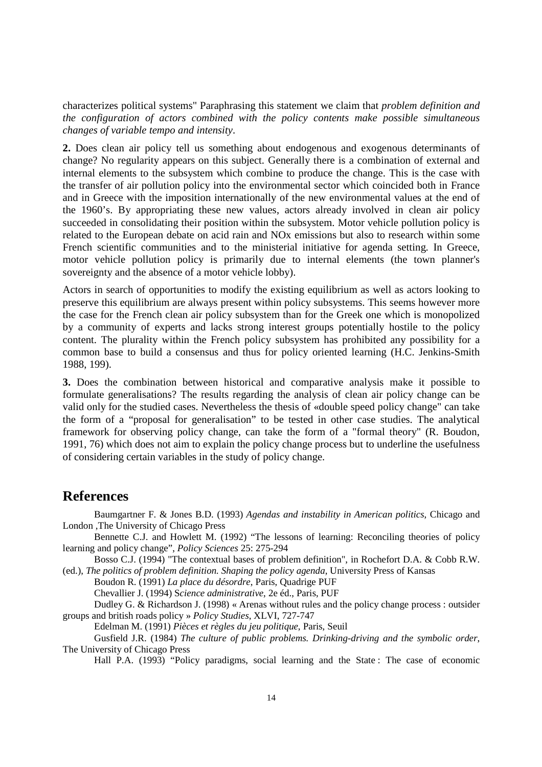characterizes political systems" Paraphrasing this statement we claim that *problem definition and the configuration of actors combined with the policy contents make possible simultaneous changes of variable tempo and intensity*.

**2.** Does clean air policy tell us something about endogenous and exogenous determinants of change? No regularity appears on this subject. Generally there is a combination of external and internal elements to the subsystem which combine to produce the change. This is the case with the transfer of air pollution policy into the environmental sector which coincided both in France and in Greece with the imposition internationally of the new environmental values at the end of the 1960's. By appropriating these new values, actors already involved in clean air policy succeeded in consolidating their position within the subsystem. Motor vehicle pollution policy is related to the European debate on acid rain and NOx emissions but also to research within some French scientific communities and to the ministerial initiative for agenda setting. In Greece, motor vehicle pollution policy is primarily due to internal elements (the town planner's sovereignty and the absence of a motor vehicle lobby).

Actors in search of opportunities to modify the existing equilibrium as well as actors looking to preserve this equilibrium are always present within policy subsystems. This seems however more the case for the French clean air policy subsystem than for the Greek one which is monopolized by a community of experts and lacks strong interest groups potentially hostile to the policy content. The plurality within the French policy subsystem has prohibited any possibility for a common base to build a consensus and thus for policy oriented learning (H.C. Jenkins-Smith 1988, 199).

**3.** Does the combination between historical and comparative analysis make it possible to formulate generalisations? The results regarding the analysis of clean air policy change can be valid only for the studied cases. Nevertheless the thesis of «double speed policy change" can take the form of a "proposal for generalisation" to be tested in other case studies. The analytical framework for observing policy change, can take the form of a "formal theory" (R. Boudon, 1991, 76) which does not aim to explain the policy change process but to underline the usefulness of considering certain variables in the study of policy change.

### **References**

Baumgartner F. & Jones B.D. (1993) *Agendas and instability in American politics*, Chicago and London ,The University of Chicago Press

Bennette C.J. and Howlett M. (1992) "The lessons of learning: Reconciling theories of policy learning and policy change", *Policy Sciences* 25: 275-294

Bosso C.J. (1994) "The contextual bases of problem definition", in Rochefort D.A. & Cobb R.W. (ed.), *The politics of problem definition. Shaping the policy agenda*, University Press of Kansas

Boudon R. (1991) *La place du désordre*, Paris, Quadrige PUF

Chevallier J. (1994) S*cience administrative*, 2e éd., Paris, PUF

Dudley G. & Richardson J. (1998) « Arenas without rules and the policy change process : outsider groups and british roads policy » *Policy Studies*, XLVI, 727-747

Edelman M. (1991) *Pièces et règles du jeu politique*, Paris, Seuil

Gusfield J.R. (1984) *The culture of public problems. Drinking-driving and the symbolic order*, The University of Chicago Press

Hall P.A. (1993) "Policy paradigms, social learning and the State : The case of economic